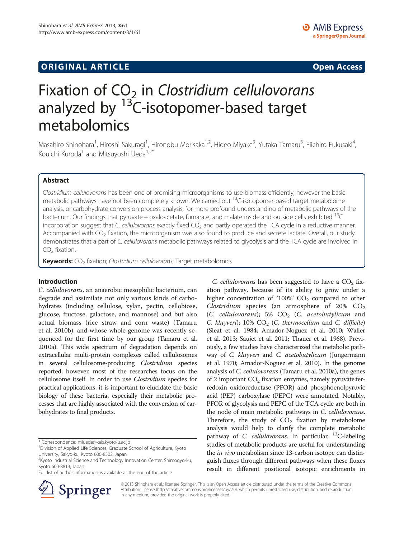# **ORIGINAL ARTICLE CONSUMING A LIGACION** CONSUMING A LIGACION CONSUMING A LIGACION CONSUMING A LIGACION CONSUMING A LIGACION CONSUMING A LIGACION CONSUMING A LIGACION CONSUMING A LIGACION CONSUMING A LIGACION CONSUMING A

# Fixation of  $CO<sub>2</sub>$  in Clostridium cellulovorans analyzed by  $13$ C-isotopomer-based target metabolomics

Masahiro Shinohara<sup>1</sup>, Hiroshi Sakuragi<sup>1</sup>, Hironobu Morisaka<sup>1,2</sup>, Hideo Miyake<sup>3</sup>, Yutaka Tamaru<sup>3</sup>, Eiichiro Fukusaki<sup>4</sup> , Kouichi Kuroda<sup>1</sup> and Mitsuyoshi Ueda<sup>1,2\*</sup>

# Abstract

Clostridium cellulovorans has been one of promising microorganisms to use biomass efficiently; however the basic metabolic pathways have not been completely known. We carried out <sup>13</sup>C-isotopomer-based target metabolome analysis, or carbohydrate conversion process analysis, for more profound understanding of metabolic pathways of the bacterium. Our findings that pyruvate + oxaloacetate, fumarate, and malate inside and outside cells exhibited <sup>13</sup>C incorporation suggest that C. cellulovorans exactly fixed  $CO<sub>2</sub>$  and partly operated the TCA cycle in a reductive manner. Accompanied with CO<sub>2</sub> fixation, the microorganism was also found to produce and secrete lactate. Overall, our study demonstrates that a part of C. cellulovorans metabolic pathways related to glycolysis and the TCA cycle are involved in  $CO<sub>2</sub>$  fixation.

Keywords: CO<sub>2</sub> fixation; Clostridium cellulovorans; Target metabolomics

# Introduction

C. cellulovorans, an anaerobic mesophilic bacterium, can degrade and assimilate not only various kinds of carbohydrates (including cellulose, xylan, pectin, cellobiose, glucose, fructose, galactose, and mannose) and but also actual biomass (rice straw and corn waste) (Tamaru et al. [2010b\)](#page-5-0), and whose whole genome was recently sequenced for the first time by our group (Tamaru et al. [2010a\)](#page-5-0). This wide spectrum of degradation depends on extracellular multi-protein complexes called cellulosomes in several cellulosome-producing Clostridium species reported; however, most of the researches focus on the cellulosome itself. In order to use Clostridium species for practical applications, it is important to elucidate the basic biology of these bacteria, especially their metabolic processes that are highly associated with the conversion of carbohydrates to final products.

\* Correspondence: [miueda@kais.kyoto-u.ac.jp](mailto:miueda@kais.kyoto-u.ac.jp) <sup>1</sup>

Full list of author information is available at the end of the article



C. cellulovorans has been suggested to have a  $CO<sub>2</sub>$  fixation pathway, because of its ability to grow under a higher concentration of '100%'  $CO<sub>2</sub>$  compared to other Clostridium species (an atmosphere of  $20\%$  CO<sub>2</sub> (C. cellulovorans); 5%  $CO<sub>2</sub>$  (C. acetobutylicum and C. kluyveri); 10%  $CO<sub>2</sub>$  (C. thermocellum and C. difficile) (Sleat et al. [1984](#page-5-0); Amador-Noguez et al. [2010](#page-5-0); Waller et al. [2013;](#page-5-0) Saujet et al. [2011](#page-5-0); Thauer et al. [1968\)](#page-5-0). Previously, a few studies have characterized the metabolic pathway of C. kluyveri and C. acetobutylicum (Jungermann et al. [1970](#page-5-0); Amador-Noguez et al. [2010](#page-5-0)). In the genome analysis of C. cellulovorans (Tamaru et al. [2010a\)](#page-5-0), the genes of 2 important  $CO<sub>2</sub>$  fixation enzymes, namely pyruvate:ferredoxin oxidoreductase (PFOR) and phosphoenolpyruvic acid (PEP) carboxylase (PEPC) were annotated. Notably, PFOR of glycolysis and PEPC of the TCA cycle are both in the node of main metabolic pathways in C. cellulovorans. Therefore, the study of  $CO<sub>2</sub>$  fixation by metabolome analysis would help to clarify the complete metabolic pathway of *C. cellulovorans*. In particular,  $^{13}$ C-labeling studies of metabolic products are useful for understanding the in vivo metabolism since 13-carbon isotope can distinguish fluxes through different pathways when these fluxes result in different positional isotopic enrichments in

© 2013 Shinohara et al.; licensee Springer. This is an Open Access article distributed under the terms of the Creative Commons Attribution License [\(http://creativecommons.org/licenses/by/2.0\)](http://creativecommons.org/licenses/by/2.0), which permits unrestricted use, distribution, and reproduction in any medium, provided the original work is properly cited.

<sup>&</sup>lt;sup>1</sup> Division of Applied Life Sciences, Graduate School of Agriculture, Kyoto University, Sakyo-ku, Kyoto 606-8502, Japan

<sup>&</sup>lt;sup>2</sup> Kyoto Industrial Science and Technology Innovation Center, Shimogyo-ku, Kyoto 600-8813, Japan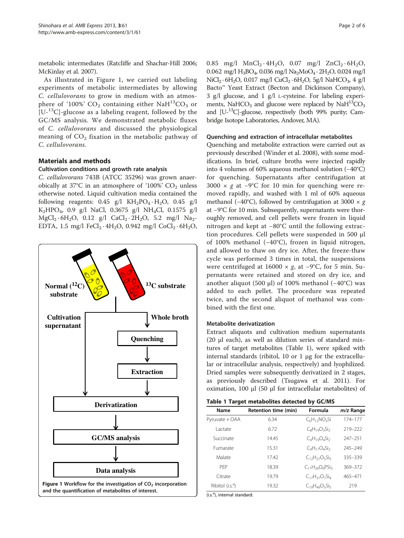<span id="page-1-0"></span>metabolic intermediates (Ratcliffe and Shachar-Hill [2006](#page-5-0); McKinlay et al. [2007\)](#page-5-0).

As illustrated in Figure 1, we carried out labeling experiments of metabolic intermediates by allowing C. cellulovorans to grow in medium with an atmosphere of '100%'  $CO_2$  containing either NaH<sup>13</sup>CO<sub>3</sub> or  $[U<sup>13</sup>C]$ -glucose as a labeling reagent, followed by the GC/MS analysis. We demonstrated metabolic fluxes of C. cellulovorans and discussed the physiological meaning of  $CO<sub>2</sub>$  fixation in the metabolic pathway of C. cellulovorans.

# Materials and methods

# Cultivation conditions and growth rate analysis

C. cellulovorans 743B (ATCC 35296) was grown anaerobically at 37 $\degree$ C in an atmosphere of '100%' CO<sub>2</sub> unless otherwise noted. Liquid cultivation media contained the following reagents:  $0.45$  g/l KH<sub>2</sub>PO<sub>4</sub> · H<sub>2</sub>O,  $0.45$  g/l K2HPO4, 0.9 g/l NaCl, 0.3675 g/l NH4Cl, 0.1575 g/l  $MgCl_2 \cdot 6H_2O$ , 0.12 g/l  $CaCl_2 \cdot 2H_2O$ , 5.2 mg/l  $Na_2$ -EDTA, 1.5 mg/l FeCl<sub>2</sub> · 4H<sub>2</sub>O, 0.942 mg/l CoCl<sub>2</sub> · 6H<sub>2</sub>O,



0.85 mg/l  $MnCl_2 \cdot 4H_2O$ , 0.07 mg/l  $ZnCl_2 \cdot 6H_2O$ , 0.062 mg/l  $H_3BO_4$ , 0.036 mg/l  $Na_2MoO_4 \cdot 2H_2O$ , 0.024 mg/l  $NiCl<sub>2</sub> · 6H<sub>2</sub>O, 0.017 mg/l CuCl<sub>2</sub> · 6H<sub>2</sub>O, 5g/l NaHCO<sub>3</sub>, 4 g/l$ Bacto™ Yeast Extract (Becton and Dickinson Company), 3 g/l glucose, and 1 g/l L-cysteine. For labeling experiments, NaHCO<sub>3</sub> and glucose were replaced by NaH<sup>13</sup>CO<sub>3</sub> and  $[U^{-13}C]$ -glucose, respectively (both 99% purity; Cambridge Isotope Laboratories, Andover, MA).

#### Quenching and extraction of intracellular metabolites

Quenching and metabolite extraction were carried out as previously described (Winder et al. [2008](#page-5-0)), with some modifications. In brief, culture broths were injected rapidly into 4 volumes of 60% aqueous methanol solution (−40°C) for quenching. Supernatants after centrifugation at 3000  $\times$  g at −9°C for 10 min for quenching were removed rapidly, and washed with 1 ml of 60% aqueous methanol (−40°C), followed by centrifugation at 3000  $\times$  g at −9°C for 10 min. Subsequently, supernatants were thoroughly removed, and cell pellets were frozen in liquid nitrogen and kept at −80°C until the following extraction procedures. Cell pellets were suspended in 500 μl of 100% methanol (−40°C), frozen in liquid nitrogen, and allowed to thaw on dry ice. After, the freeze-thaw cycle was performed 3 times in total, the suspensions were centrifuged at  $16000 \times g$ , at −9°C, for 5 min. Supernatants were retained and stored on dry ice, and another aliquot (500 μl) of 100% methanol (−40°C) was added to each pellet. The procedure was repeated twice, and the second aliquot of methanol was combined with the first one.

# Metabolite derivatization

Extract aliquots and cultivation medium supernatants (20 μl each), as well as dilution series of standard mixtures of target metabolites (Table 1), were spiked with internal standards (ribitol, 10 or 1 μg for the extracellular or intracellular analysis, respectively) and lyophilized. Dried samples were subsequently derivatized in 2 stages, as previously described (Tsugawa et al. [2011](#page-5-0)). For oximation, 100 μl (50 μl for intracellular metabolites) of

|  |  | Table 1 Target metabolites detected by GC/MS |  |  |  |
|--|--|----------------------------------------------|--|--|--|
|--|--|----------------------------------------------|--|--|--|

| Name                         | Retention time (min) | Formula                | $m/z$ Range |
|------------------------------|----------------------|------------------------|-------------|
| Pyruvate + OAA               | 6.34                 | $C_6H_{12}NO_3Si$      | 174-177     |
| Lactate                      | 672                  | $C_8H_{19}O_3Si_2$     | 219-222     |
| Succinate                    | 1445                 | $C_9H_{19}O_4Si_2$     | $247 - 251$ |
| Fumarate                     | 1531                 | $C_9H_{17}O_4Si_2$     | 245-249     |
| Malate                       | 1742                 | $C_{12}H_{27}O_5Si_3$  | 335-339     |
| PFP                          | 18.39                | $C_{11}H_{26}O_6PSi_3$ | 369-372     |
| Citrate                      | 19.79                | $C_{17}H_{37}O_7Si_4$  | 465-471     |
| Ribitol (i.s. <sup>a</sup> ) | 19.32                | $C_{19}H_{49}O_5Si_5$  | 219         |

(i.s.<sup>a</sup>), internal standard.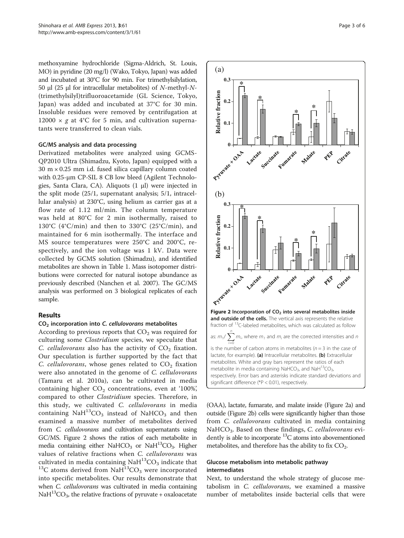<span id="page-2-0"></span>methoxyamine hydrochloride (Sigma-Aldrich, St. Louis, MO) in pyridine (20 mg/l) (Wako, Tokyo, Japan) was added and incubated at 30°C for 90 min. For trimethylsilylation, 50 μl (25 μl for intracellular metabolites) of N-methyl-N- (trimethylsilyl)trifluoroacetamide (GL Science, Tokyo, Japan) was added and incubated at 37°C for 30 min. Insoluble residues were removed by centrifugation at 12000  $\times$  g at 4°C for 5 min, and cultivation supernatants were transferred to clean vials.

#### GC/MS analysis and data processing

Derivatized metabolites were analyzed using GCMS-QP2010 Ultra (Shimadzu, Kyoto, Japan) equipped with a  $30 \text{ m} \times 0.25 \text{ mm}$  i.d. fused silica capillary column coated with 0.25-μm CP-SIL 8 CB low bleed (Agilent Technologies, Santa Clara, CA). Aliquots (1 μl) were injected in the split mode (25/1, supernatant analysis; 5/1, intracellular analysis) at 230°C, using helium as carrier gas at a flow rate of 1.12 ml/min. The column temperature was held at 80°C for 2 min isothermally, raised to 130°C (4°C/min) and then to 330°C (25°C/min), and maintained for 6 min isothermally. The interface and MS source temperatures were 250°C and 200°C, respectively, and the ion voltage was 1 kV. Data were collected by GCMS solution (Shimadzu), and identified metabolites are shown in Table [1.](#page-1-0) Mass isotopomer distributions were corrected for natural isotope abundance as previously described (Nanchen et al. [2007](#page-5-0)). The GC/MS analysis was performed on 3 biological replicates of each sample.

#### Results

#### CO2 incorporation into C. cellulovorans metabolites

According to previous reports that  $CO<sub>2</sub>$  was required for culturing some Clostridium species, we speculate that C. cellulovorans also has the activity of  $CO<sub>2</sub>$  fixation. Our speculation is further supported by the fact that C. cellulovorans, whose genes related to  $CO<sub>2</sub>$  fixation were also annotated in the genome of C. cellulovorans (Tamaru et al. [2010a\)](#page-5-0), can be cultivated in media containing higher  $CO<sub>2</sub>$  concentrations, even at '100%', compared to other Clostridium species. Therefore, in this study, we cultivated C. cellulovorans in media containing  $\text{NaH}^{13}\text{CO}_3$  instead of  $\text{NaHCO}_3$  and then examined a massive number of metabolites derived from C. cellulovorans and cultivation supernatants using GC/MS. Figure 2 shows the ratios of each metabolite in media containing either NaHCO<sub>3</sub> or NaH<sup>13</sup>CO<sub>3</sub>. Higher values of relative fractions when *C. cellulovorans* was cultivated in media containing  $NAH^{13}CO_3$  indicate that  $13C$  atoms derived from Na $\breve{\rm H}^{13}$ CO<sub>3</sub> were incorporated into specific metabolites. Our results demonstrate that when *C. cellulovorans* was cultivated in media containing  $NaH<sup>13</sup>CO<sub>3</sub>$ , the relative fractions of pyruvate + oxaloacetate



(OAA), lactate, fumarate, and malate inside (Figure 2a) and outside (Figure 2b) cells were significantly higher than those from *C. cellulovorans* cultivated in media containing NaHCO<sub>3</sub>. Based on these findings, C. cellulovorans evidently is able to incorporate  ${}^{13}C$  atoms into abovementioned metabolites, and therefore has the ability to fix  $CO<sub>2</sub>$ .

# Glucose metabolism into metabolic pathway intermediates

Next, to understand the whole strategy of glucose metabolism in C. cellulovorans, we examined a massive number of metabolites inside bacterial cells that were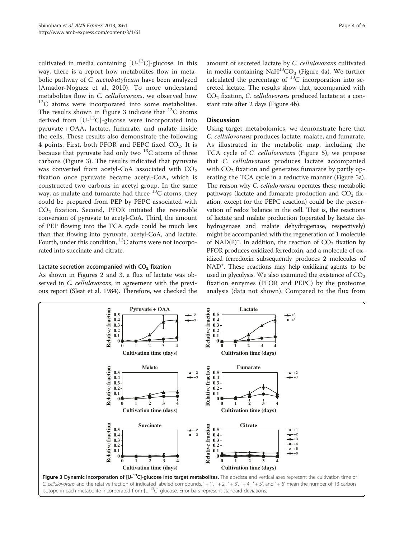<span id="page-3-0"></span>cultivated in media containing  $[U^{-13}C]$ -glucose. In this way, there is a report how metabolites flow in metabolic pathway of C. acetobutylicum have been analyzed (Amador-Noguez et al. [2010\)](#page-5-0). To more understand metabolites flow in *C. cellulovorans*, we observed how  $^{13}$ C atoms were incorporated into some metabolites. The results shown in Figure 3 indicate that  $^{13}C$  atoms derived from  $[U^{-13}C]$ -glucose were incorporated into pyruvate + OAA, lactate, fumarate, and malate inside the cells. These results also demonstrate the following 4 points. First, both PFOR and PEPC fixed  $CO<sub>2</sub>$ . It is because that pyruvate had only two  $^{13}$ C atoms of three carbons (Figure 3). The results indicated that pyruvate was converted from acetyl-CoA associated with  $CO<sub>2</sub>$ fixation once pyruvate became acetyl-CoA, which is constructed two carbons in acetyl group. In the same way, as malate and fumarate had three  $^{13}$ C atoms, they could be prepared from PEP by PEPC associated with  $CO<sub>2</sub>$  fixation. Second, PFOR initiated the reversible conversion of pyruvate to acetyl-CoA. Third, the amount of PEP flowing into the TCA cycle could be much less than that flowing into pyruvate, acetyl-CoA, and lactate. Fourth, under this condition,  ${}^{13}C$  atoms were not incorporated into succinate and citrate.

### Lactate secretion accompanied with  $CO<sub>2</sub>$  fixation

As shown in Figures [2](#page-2-0) and 3, a flux of lactate was observed in *C. cellulovorans*, in agreement with the previous report (Sleat et al. [1984\)](#page-5-0). Therefore, we checked the amount of secreted lactate by C. cellulovorans cultivated in media containing  $\text{NaH}^{13}\text{CO}_3$  (Figure [4](#page-4-0)a). We further calculated the percentage of  ${}^{13}C$  incorporation into secreted lactate. The results show that, accompanied with  $CO<sub>2</sub>$  fixation, *C. cellulovorans* produced lactate at a constant rate after 2 days (Figure [4b](#page-4-0)).

### **Discussion**

Using target metabolomics, we demonstrate here that C. cellulovorans produces lactate, malate, and fumarate. As illustrated in the metabolic map, including the TCA cycle of C. cellulovorans (Figure [5](#page-4-0)), we propose that C. cellulovorans produces lactate accompanied with  $CO<sub>2</sub>$  fixation and generates fumarate by partly operating the TCA cycle in a reductive manner (Figure [5](#page-4-0)a). The reason why C. cellulovorans operates these metabolic pathways (lactate and fumarate production and  $CO<sub>2</sub>$  fixation, except for the PEPC reaction) could be the preservation of redox balance in the cell. That is, the reactions of lactate and malate production (operated by lactate dehydrogenase and malate dehydrogenase, respectively) might be accompanied with the regeneration of 1 molecule of NAD(P)<sup>+</sup>. In addition, the reaction of  $CO<sub>2</sub>$  fixation by PFOR produces oxidized ferredoxin, and a molecule of oxidized ferredoxin subsequently produces 2 molecules of NAD<sup>+</sup>. These reactions may help oxidizing agents to be used in glycolysis. We also examined the existence of  $CO<sub>2</sub>$ fixation enzymes (PFOR and PEPC) by the proteome analysis (data not shown). Compared to the flux from

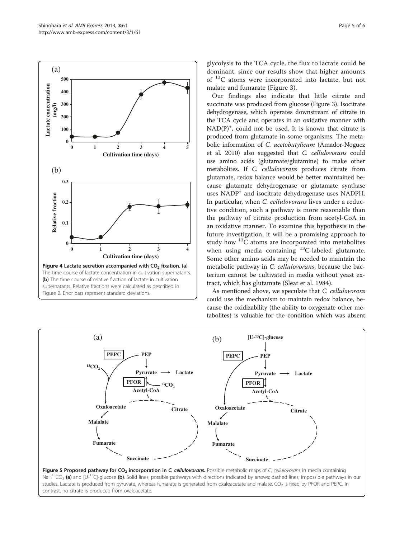Our findings also indicate that little citrate and succinate was produced from glucose (Figure [3\)](#page-3-0). Isocitrate dehydrogenase, which operates downstream of citrate in the TCA cycle and operates in an oxidative manner with NAD(P)<sup>+</sup>, could not be used. It is known that citrate is produced from glutamate in some organisms. The metabolic information of C. acetobutylicum (Amador-Noguez et al. [2010\)](#page-5-0) also suggested that C. cellulovorans could use amino acids (glutamate/glutamine) to make other metabolites. If C. cellulovorans produces citrate from glutamate, redox balance would be better maintained because glutamate dehydrogenase or glutamate synthase uses NADP<sup>+</sup> and isocitrate dehydrogenase uses NADPH. In particular, when C. cellulovorans lives under a reductive condition, such a pathway is more reasonable than the pathway of citrate production from acetyl-CoA in an oxidative manner. To examine this hypothesis in the future investigation, it will be a promising approach to study how  $^{13}$ C atoms are incorporated into metabolites when using media containing <sup>13</sup>C-labeled glutamate. Some other amino acids may be needed to maintain the metabolic pathway in C. cellulovorans, because the bacterium cannot be cultivated in media without yeast extract, which has glutamate (Sleat et al. [1984](#page-5-0)).

As mentioned above, we speculate that C. cellulovorans could use the mechanism to maintain redox balance, because the oxidizability (the ability to oxygenate other metabolites) is valuable for the condition which was absent

(a) **[U-13C]-glucose PEP Pyruvate Acetyl-CoA Lactate PFOR PEPC** (b) **PEP Pyruvate Acetyl-CoA Lactate 13CO**<sub>2</sub> **PFOR 13CO2 PEPC**



<span id="page-4-0"></span>